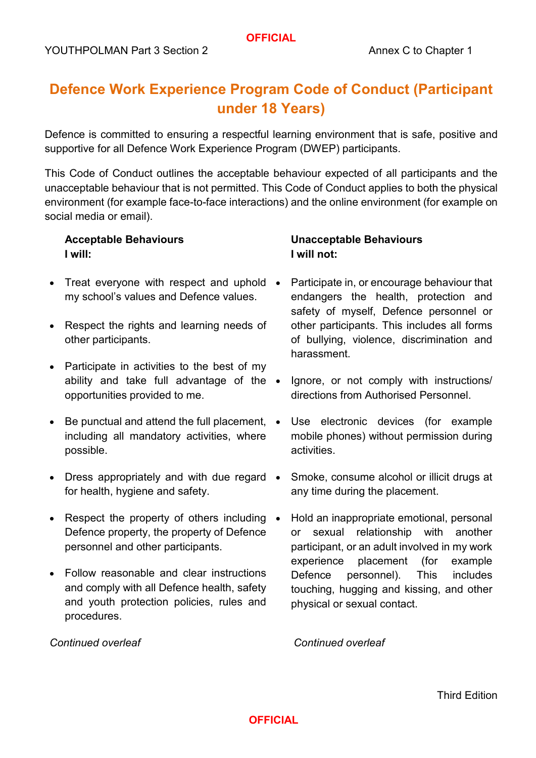# **Defence Work Experience Program Code of Conduct (Participant under 18 Years)**

Defence is committed to ensuring a respectful learning environment that is safe, positive and supportive for all Defence Work Experience Program (DWEP) participants.

This Code of Conduct outlines the acceptable behaviour expected of all participants and the unacceptable behaviour that is not permitted. This Code of Conduct applies to both the physical environment (for example face-to-face interactions) and the online environment (for example on social media or email).

## **Acceptable Behaviours I will:**

- Treat everyone with respect and uphold my school's values and Defence values.
- Respect the rights and learning needs of other participants.
- Participate in activities to the best of my ability and take full advantage of the  $\bullet$ opportunities provided to me.
- Be punctual and attend the full placement.  $\bullet$ including all mandatory activities, where possible.
- Dress appropriately and with due regard for health, hygiene and safety.
- Respect the property of others including Defence property, the property of Defence personnel and other participants.
- Follow reasonable and clear instructions and comply with all Defence health, safety and youth protection policies, rules and procedures.

#### *Continued overleaf*

## **Unacceptable Behaviours I will not:**

- Participate in, or encourage behaviour that endangers the health, protection and safety of myself, Defence personnel or other participants. This includes all forms of bullying, violence, discrimination and harassment.
- Ignore, or not comply with instructions/ directions from Authorised Personnel.
- Use electronic devices (for example mobile phones) without permission during activities.
- Smoke, consume alcohol or illicit drugs at any time during the placement.
- Hold an inappropriate emotional, personal or sexual relationship with another participant, or an adult involved in my work experience placement (for example Defence personnel). This includes touching, hugging and kissing, and other physical or sexual contact.

*Continued overleaf*

## **OFFICIAL**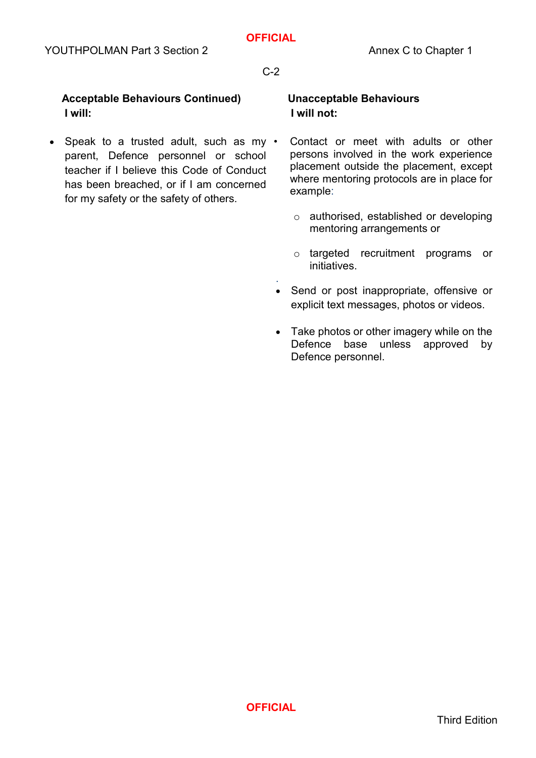#### C-2

## **Acceptable Behaviours Continued) I will:**

• Speak to a trusted adult, such as my • parent, Defence personnel or school teacher if I believe this Code of Conduct has been breached, or if I am concerned for my safety or the safety of others.

### **Unacceptable Behaviours I will not:**

- Contact or meet with adults or other persons involved in the work experience placement outside the placement, except where mentoring protocols are in place for example:
	- o authorised, established or developing mentoring arrangements or
	- o targeted recruitment programs or initiatives.
- . • Send or post inappropriate, offensive or explicit text messages, photos or videos.
- Take photos or other imagery while on the Defence base unless approved by Defence personnel.